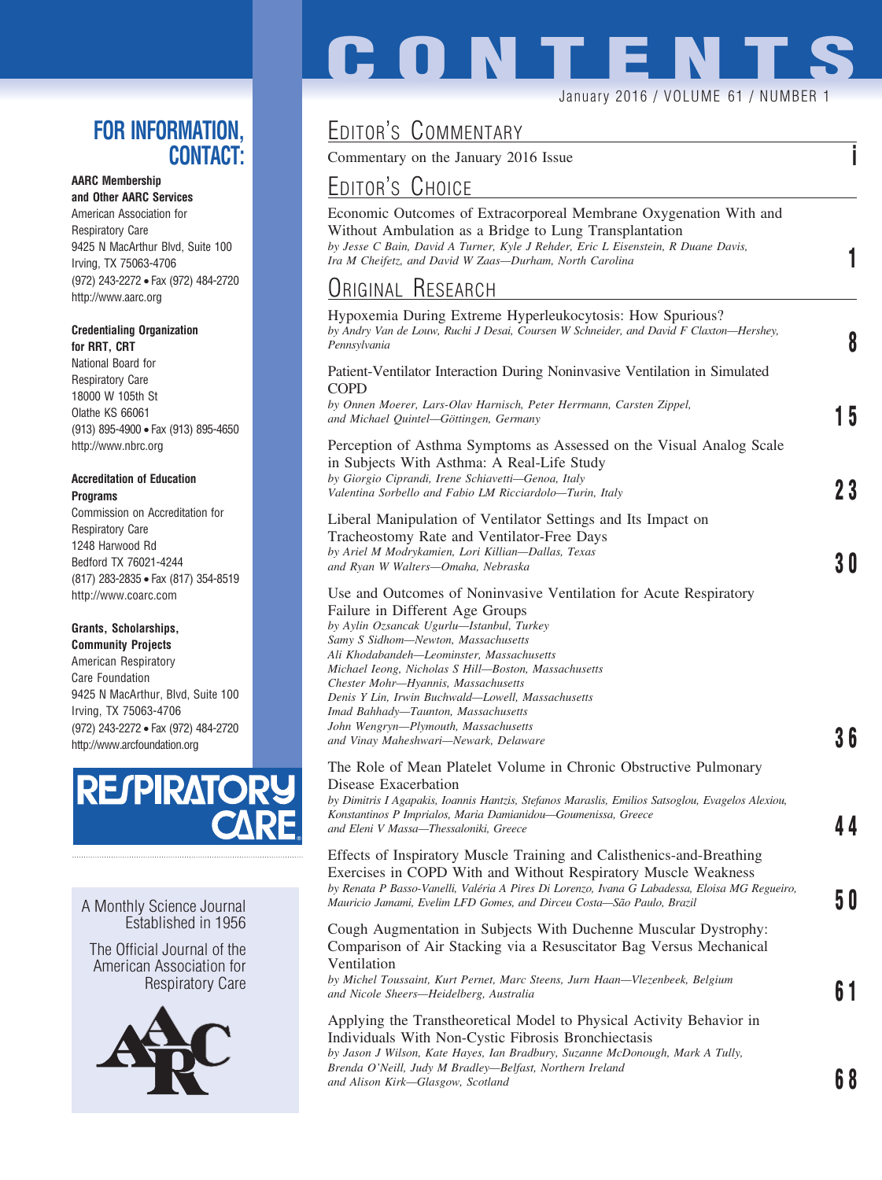### **FOR INFORMATION, CONTACT:**

#### **AARC Membership**

**and Other AARC Services** American Association for Respiratory Care 9425 N MacArthur Blvd, Suite 100 Irving, TX 75063-4706 (972) 243-2272 • Fax (972) 484-2720 http://www.aarc.org

#### **Credentialing Organization for RRT, CRT**

National Board for Respiratory Care 18000 W 105th St Olathe KS 66061 (913) 895-4900 • Fax (913) 895-4650 http://www.nbrc.org

#### **Accreditation of Education Programs**

Commission on Accreditation for Respiratory Care 1248 Harwood Rd Bedford TX 76021-4244 (817) 283-2835 • Fax (817) 354-8519 http://www.coarc.com

#### **Grants, Scholarships,**

**Community Projects** American Respiratory Care Foundation 9425 N MacArthur, Blvd, Suite 100 Irving, TX 75063-4706 (972) 243-2272 • Fax (972) 484-2720 http://www.arcfoundation.org



A Monthly Science Journal Established in 1956

The Official Journal of the American Association for Respiratory Care



# **CONTENT**

#### January 2016 / VOLUME 61 / NUMBER 1

## EDITOR'S COMMENTARY

Commentary on the January 2016 Issue **i**

## EDITOR'S CHOICE

| Economic Outcomes of Extracorporeal Membrane Oxygenation With and                 |  |
|-----------------------------------------------------------------------------------|--|
| Without Ambulation as a Bridge to Lung Transplantation                            |  |
| by Jesse C Bain, David A Turner, Kyle J Rehder, Eric L Eisenstein, R Duane Davis, |  |
| Ira M Cheifetz, and David W Zaas-Durham, North Carolina                           |  |

## ORIGINAL RESEARCH

| Hypoxemia During Extreme Hyperleukocytosis: How Spurious?<br>by Andry Van de Louw, Ruchi J Desai, Coursen W Schneider, and David F Claxton-Hershey,<br>Pennsylvania                                                                                                                                                                                                                                                                                                                                               | 8  |
|-------------------------------------------------------------------------------------------------------------------------------------------------------------------------------------------------------------------------------------------------------------------------------------------------------------------------------------------------------------------------------------------------------------------------------------------------------------------------------------------------------------------|----|
| Patient-Ventilator Interaction During Noninvasive Ventilation in Simulated<br><b>COPD</b><br>by Onnen Moerer, Lars-Olav Harnisch, Peter Herrmann, Carsten Zippel,<br>and Michael Quintel-Göttingen, Germany                                                                                                                                                                                                                                                                                                       | 15 |
| Perception of Asthma Symptoms as Assessed on the Visual Analog Scale<br>in Subjects With Asthma: A Real-Life Study<br>by Giorgio Ciprandi, Irene Schiavetti-Genoa, Italy<br>Valentina Sorbello and Fabio LM Ricciardolo-Turin, Italy                                                                                                                                                                                                                                                                              | 23 |
| Liberal Manipulation of Ventilator Settings and Its Impact on<br>Tracheostomy Rate and Ventilator-Free Days<br>by Ariel M Modrykamien, Lori Killian-Dallas, Texas<br>and Ryan W Walters-Omaha, Nebraska                                                                                                                                                                                                                                                                                                           | 30 |
| Use and Outcomes of Noninvasive Ventilation for Acute Respiratory<br>Failure in Different Age Groups<br>by Aylin Ozsancak Ugurlu—Istanbul, Turkey<br>Samy S Sidhom-Newton, Massachusetts<br>Ali Khodabandeh-Leominster, Massachusetts<br>Michael Ieong, Nicholas S Hill-Boston, Massachusetts<br>Chester Mohr-Hyannis, Massachusetts<br>Denis Y Lin, Irwin Buchwald—Lowell, Massachusetts<br>Imad Bahhady-Taunton, Massachusetts<br>John Wengryn-Plymouth, Massachusetts<br>and Vinay Maheshwari-Newark, Delaware | 36 |
| The Role of Mean Platelet Volume in Chronic Obstructive Pulmonary<br>Disease Exacerbation<br>by Dimitris I Agapakis, Ioannis Hantzis, Stefanos Maraslis, Emilios Satsoglou, Evagelos Alexiou,<br>Konstantinos P Imprialos, Maria Damianidou-Goumenissa, Greece<br>and Eleni V Massa-Thessaloniki, Greece                                                                                                                                                                                                          | 44 |
| Effects of Inspiratory Muscle Training and Calisthenics-and-Breathing<br>Exercises in COPD With and Without Respiratory Muscle Weakness<br>by Renata P Basso-Vanelli, Valéria A Pires Di Lorenzo, Ivana G Labadessa, Eloisa MG Regueiro,<br>Mauricio Jamami, Evelim LFD Gomes, and Dirceu Costa-São Paulo, Brazil                                                                                                                                                                                                 | 50 |
| Cough Augmentation in Subjects With Duchenne Muscular Dystrophy:<br>Comparison of Air Stacking via a Resuscitator Bag Versus Mechanical<br>Ventilation<br>by Michel Toussaint, Kurt Pernet, Marc Steens, Jurn Haan-Vlezenbeek, Belgium<br>and Nicole Sheers-Heidelberg, Australia                                                                                                                                                                                                                                 | 61 |
| Applying the Transtheoretical Model to Physical Activity Behavior in<br>Individuals With Non-Cystic Fibrosis Bronchiectasis<br>by Jason J Wilson, Kate Hayes, Ian Bradbury, Suzanne McDonough, Mark A Tully,<br>Brenda O'Neill, Judy M Bradley-Belfast, Northern Ireland<br>and Alison Kirk-Glasgow, Scotland                                                                                                                                                                                                     | 68 |